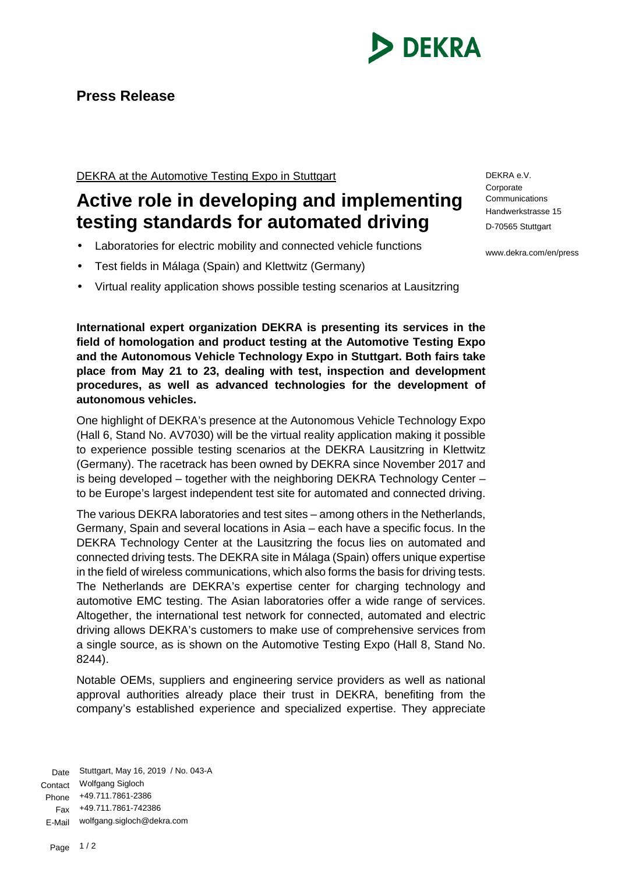

## **Press Release**

DEKRA at the Automotive Testing Expo in Stuttgart

## **Active role in developing and implementing testing standards for automated driving**

- Laboratories for electric mobility and connected vehicle functions
- Test fields in Málaga (Spain) and Klettwitz (Germany)
- Virtual reality application shows possible testing scenarios at Lausitzring

**International expert organization DEKRA is presenting its services in the field of homologation and product testing at the Automotive Testing Expo and the Autonomous Vehicle Technology Expo in Stuttgart. Both fairs take place from May 21 to 23, dealing with test, inspection and development procedures, as well as advanced technologies for the development of autonomous vehicles.** 

One highlight of DEKRA's presence at the Autonomous Vehicle Technology Expo (Hall 6, Stand No. AV7030) will be the virtual reality application making it possible to experience possible testing scenarios at the DEKRA Lausitzring in Klettwitz (Germany). The racetrack has been owned by DEKRA since November 2017 and is being developed – together with the neighboring DEKRA Technology Center – to be Europe's largest independent test site for automated and connected driving.

The various DEKRA laboratories and test sites – among others in the Netherlands, Germany, Spain and several locations in Asia – each have a specific focus. In the DEKRA Technology Center at the Lausitzring the focus lies on automated and connected driving tests. The DEKRA site in Málaga (Spain) offers unique expertise in the field of wireless communications, which also forms the basis for driving tests. The Netherlands are DEKRA's expertise center for charging technology and automotive EMC testing. The Asian laboratories offer a wide range of services. Altogether, the international test network for connected, automated and electric driving allows DEKRA's customers to make use of comprehensive services from a single source, as is shown on the Automotive Testing Expo (Hall 8, Stand No. 8244).

Notable OEMs, suppliers and engineering service providers as well as national approval authorities already place their trust in DEKRA, benefiting from the company's established experience and specialized expertise. They appreciate

Date Stuttgart, May 16, 2019 / No. 043-A Contact Wolfgang Sigloch Phone +49.711.7861-2386 Fax +49.711.7861-742386 E-Mail wolfgang.sigloch@dekra.com

DEKRA e.V. **Corporate** Communications Handwerkstrasse 15 D-70565 Stuttgart

www.dekra.com/en/press